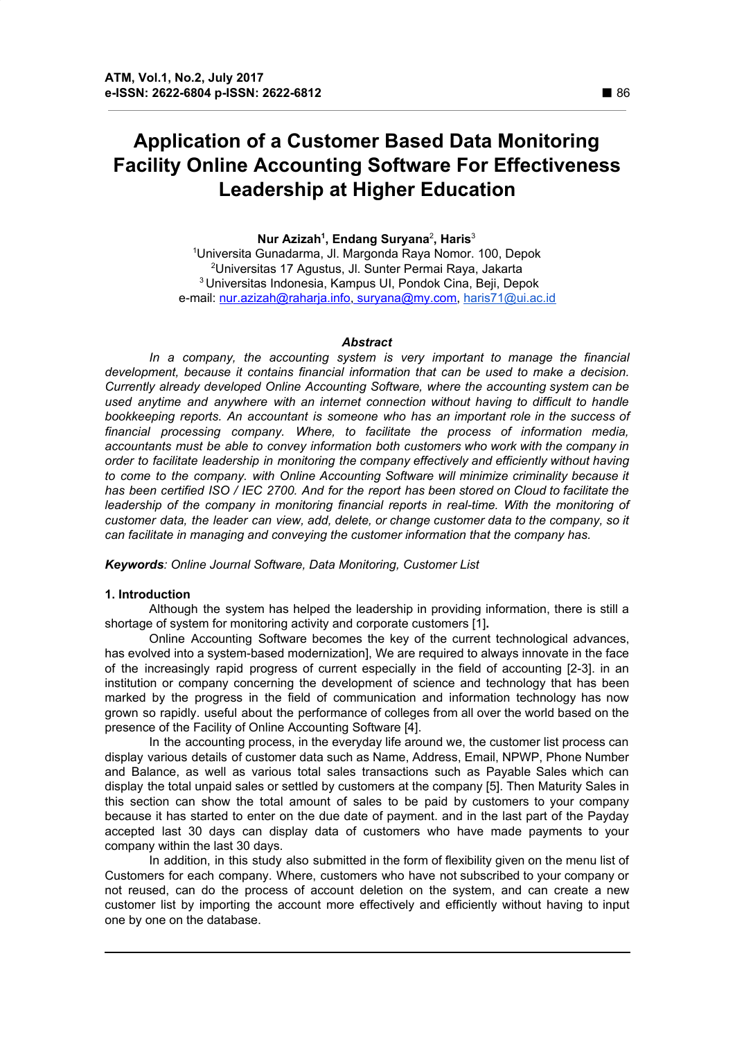# **Application of a Customer Based Data Monitoring Facility Online Accounting Software For Effectiveness Leadership at Higher Education**

## **Nur Azizah 1 , Endang Suryana** 2 **, Haris** 3

Universita Gunadarma, Jl. Margonda Raya Nomor. 100, Depok Universitas 17 Agustus, Jl. Sunter Permai Raya, Jakarta Universitas Indonesia, Kampus UI, Pondok Cina, Beji, Depok e-mail: [nur.azizah@raharja.info](mailto:nur.azizah@raharja.info), survana@my.com, [haris71@ui.ac.id](mailto:haris71@ui.ac.id)

#### *Abstract*

*In a company, the accounting system is very important to manage the financial development, because it contains financial information that can be used to make a decision. Currently already developed Online Accounting Software, where the accounting system can be used anytime and anywhere with an internet connection without having to difficult to handle bookkeeping reports. An accountant is someone who has an important role in the success of financial processing company. Where, to facilitate the process of information media, accountants must be able to convey information both customers who work with the company in order to facilitate leadership in monitoring the company effectively and efficiently without having to come to the company. with Online Accounting Software will minimize criminality because it* has been certified ISO / IEC 2700. And for the report has been stored on Cloud to facilitate the *leadership of the company in monitoring financial reports in real-time. With the monitoring of customer data, the leader can view, add, delete, or change customer data to the company, so it can facilitate in managing and conveying the customer information that the company has.*

*Keywords: Online Journal Software, Data Monitoring, Customer List*

## **1. Introduction**

Although the system has helped the leadership in providing information, there is still a shortage of system for monitoring activity and corporate customers [1]**.**

Online Accounting Software becomes the key of the current technological advances, has evolved into a system-based modernization], We are required to always innovate in the face of the increasingly rapid progress of current especially in the field of accounting [2-3]. in an institution or company concerning the development of science and technology that has been marked by the progress in the field of communication and information technology has now grown so rapidly. useful about the performance of colleges from all over the world based on the presence of the Facility of Online Accounting Software [4].

In the accounting process, in the everyday life around we, the customer list process can display various details of customer data such as Name, Address, Email, NPWP, Phone Number and Balance, as well as various total sales transactions such as Payable Sales which can display the total unpaid sales or settled by customers at the company [5]. Then Maturity Sales in this section can show the total amount of sales to be paid by customers to your company because it has started to enter on the due date of payment. and in the last part of the Payday accepted last 30 days can display data of customers who have made payments to your company within the last 30 days.

In addition, in this study also submitted in the form of flexibility given on the menu list of Customers for each company. Where, customers who have not subscribed to your company or not reused, can do the process of account deletion on the system, and can create a new customer list by importing the account more effectively and efficiently without having to input one by one on the database.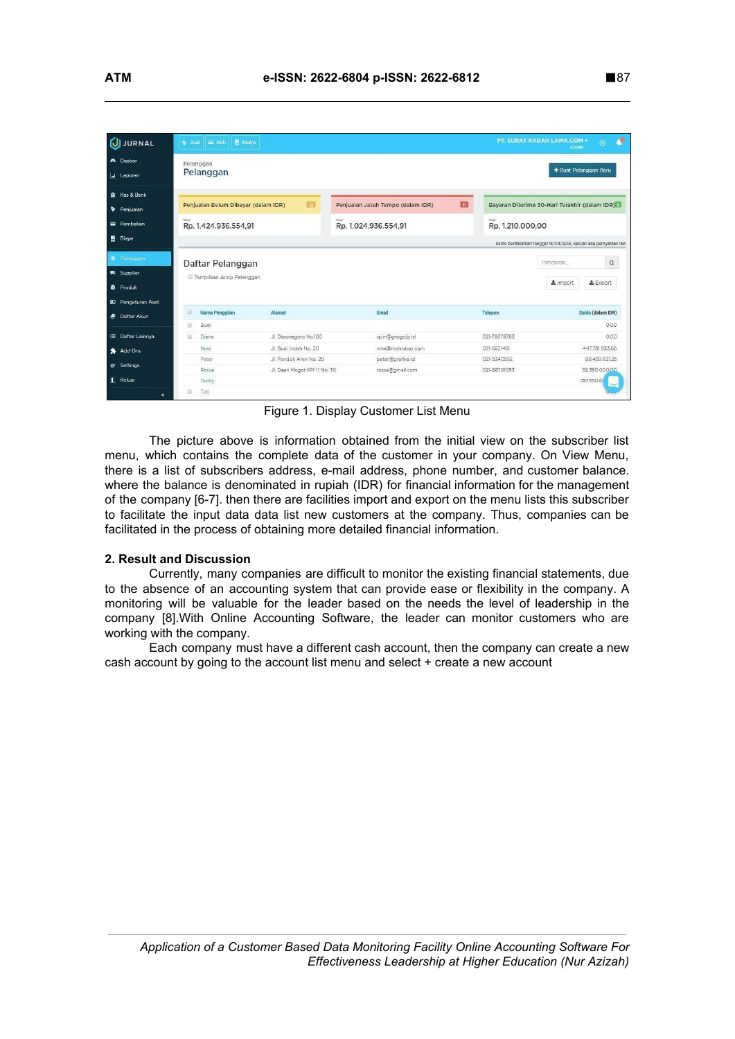| <b>JURNAL</b><br>ຝ                                | $\equiv$ Beli<br>图 Biaya<br>$\bullet$ Jual |                             |                                   |                           | л<br>PT. SURAT KABAR LAMA.COM +<br>$\odot$<br><b>ADMIN</b>        |
|---------------------------------------------------|--------------------------------------------|-----------------------------|-----------------------------------|---------------------------|-------------------------------------------------------------------|
| A Dasbor<br>Laporan                               | Pelanggan<br>Pelanggan                     |                             |                                   |                           | + Buat Pelanggan Baru                                             |
| Kas & Bank<br>Penjualan                           | Penjualan Belum Dibayar (dalam IDR)        | R                           | Penjualan Jatuh Tempo (dalam IDR) | $\blacksquare$            | Bayaran Diterima 30-Hari Terakhir (dalam IDR) 1                   |
| Pembelian                                         | Total<br>Rp. 1.424.936.554,91              |                             | Total<br>Rp. 1.024.936.554,91     | Total<br>Rp. 1.210.000,00 |                                                                   |
| 图 Biaya                                           |                                            |                             |                                   |                           | Saldo berdasarkan tanggal 16/04/2018, kecuali ada pernyataan lain |
| 基 Pelanggan                                       | Daftar Pelanggan                           |                             |                                   |                           | $\mathsf Q$<br>Pencarian                                          |
| <b>Wi</b> Supplier                                | Tampilkan Arsip Pelanggan                  |                             |                                   |                           | $\pm$ import                                                      |
| <b><i>G</i></b> Produk                            |                                            |                             |                                   |                           | $E$ Export                                                        |
| <b>ID</b> Pengaturan Aset<br><b>B</b> Daftar Akun | $\qquad \qquad \Box$<br>Nama Panggilan     | Alamat                      | Email                             | Telepon                   | Saldo (dalam IDR)                                                 |
|                                                   | Budi<br>$\Box$                             |                             |                                   |                           | 0.00                                                              |
|                                                   | Diana<br>$\Box$                            | Jl. Diponegoro No.100       | quin@grogoljy.id                  | 021-78378783              | 0.00                                                              |
| <b>E</b> Daftar Lainnya                           |                                            |                             |                                   |                           |                                                                   |
| Add-Ons                                           | Nina                                       | Jl, Budi Indah No. 20       | nina@metrobox.com                 | 021-5521461               | 447.781.933.66                                                    |
|                                                   | Peter                                      | Jl. Pondok Aren No. 20      | peter@grafika.id                  | 021-5340552               | 88.459.621.25                                                     |
| & Settings                                        | Rossa                                      | Jl. Daan Mogot KM 11 No. 30 | rossa@gmail.com                   | 021-88701053              | 52360.000.00                                                      |

Figure 1. Display Customer List Menu

The picture above is information obtained from the initial view on the subscriber list menu, which contains the complete data of the customer in your company. On View Menu, there is a list of subscribers address, e-mail address, phone number, and customer balance. where the balance is denominated in rupiah (IDR) for financial information for the management of the company [6-7]. then there are facilities import and export on the menu lists this subscriber to facilitate the input data data list new customers at the company. Thus, companies can be facilitated in the process of obtaining more detailed financial information.

## **2. Result and Discussion**

Currently, many companies are difficult to monitor the existing financial statements, due to the absence of an accounting system that can provide ease or flexibility in the company. A monitoring will be valuable for the leader based on the needs the level of leadership in the company [8].With Online Accounting Software, the leader can monitor customers who are working with the company.

Each company must have a different cash account, then the company can create a new cash account by going to the account list menu and select + create a new account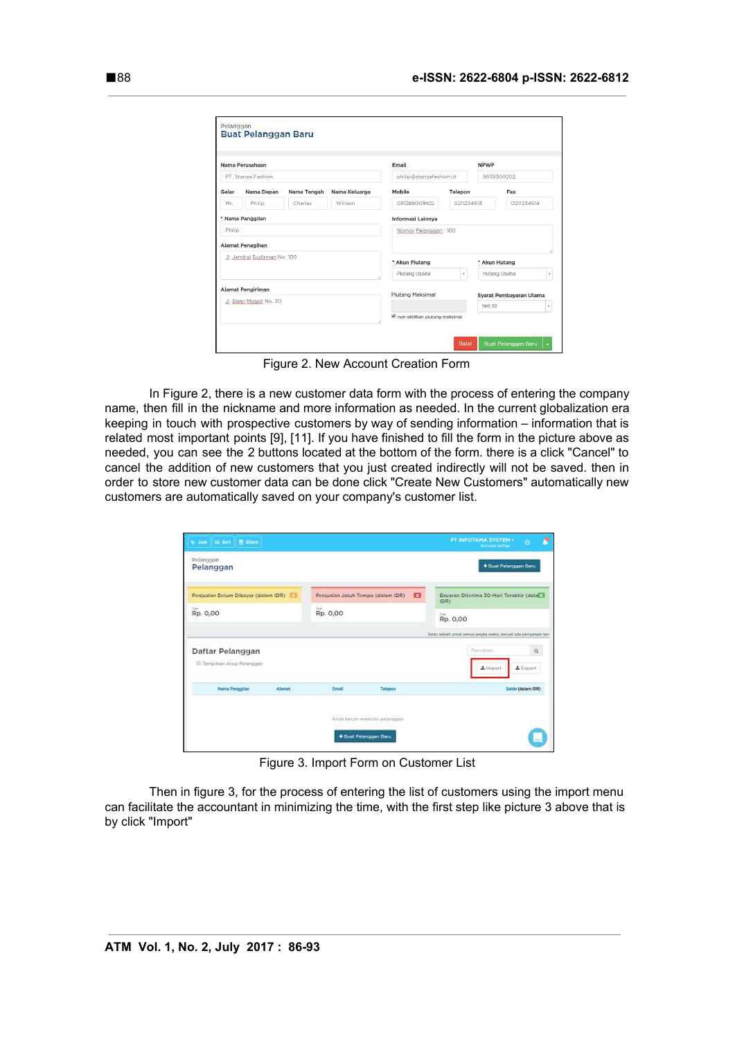|                       | Nama Perusahaan              |             |               | Email                    |            | <b>NPWP</b>   |                         |              |
|-----------------------|------------------------------|-------------|---------------|--------------------------|------------|---------------|-------------------------|--------------|
|                       | PT. Stanza Fashion           |             |               | philip@stanzafashion.id  |            | 9839300202    |                         |              |
| Gelar                 | Nama Depan                   | Nama Tengah | Nama Keluarga | Mobile                   | Telepon    |               | Fax                     |              |
| Mr.                   | Philip                       | Charles     | William       | 081288009922             | 0211234513 | 0211234514    |                         |              |
|                       | * Nama Panggilan             |             |               | <b>Informasi Lainnya</b> |            |               |                         |              |
| Philip                |                              |             |               | Nomor Pelanggan: 100     |            |               |                         |              |
|                       | Alamat Penagihan             |             |               |                          |            |               |                         |              |
|                       | JJ. Jendral Sudirman No. 100 |             |               | * Akun Piutang           |            | * Akun Hutang |                         |              |
|                       |                              |             |               | Piutang Usaha            | v.         | Hutang Usaha  |                         | $\cdot$      |
|                       | Alamat Pengiriman            |             |               |                          |            |               |                         |              |
| Jl. Daan Mogot No. 30 |                              |             |               | Piutang Maksimal         |            | <b>Net 30</b> | Syarat Pembayaran Utama | $\mathbf{v}$ |
|                       |                              |             |               |                          |            |               |                         |              |

Figure 2. New Account Creation Form

In Figure 2, there is a new customer data form with the process of entering the company name, then fill in the nickname and more information as needed. In the current globalization era keeping in touch with prospective customers by way of sending information – information that is related most important points [9], [11]. If you have finished to fill the form in the picture above as needed, you can see the 2 buttons located at the bottom of the form. there is a click "Cancel" to cancel the addition of new customers that you just created indirectly will not be saved. then in order to store new customer data can be done click "Create New Customers" automatically new customers are automatically saved on your company's customer list.

|        |                                                                                 |           | + Bust Pelanggan Baru                                               |
|--------|---------------------------------------------------------------------------------|-----------|---------------------------------------------------------------------|
|        |                                                                                 | $\bullet$ | Bayaran Diterima 30-Hari Terakhir (dala<br>IDR)                     |
|        | <b>Seat</b><br>Rp. 0,00                                                         |           | <b>Tower</b><br>Rp. 0,00                                            |
|        |                                                                                 |           | Saldo adalah untuk semua jangka waktu, kecuali ada pernyataan lain  |
|        |                                                                                 |           | $\alpha$<br>Pencerian.<br>$\Delta$ import<br>$A$ Export             |
| Alamet | Email                                                                           | Telepon   | Saldo (dalam IDR)                                                   |
|        |                                                                                 |           |                                                                     |
|        | Penjualan Belum Dibayar (dalam IDR)<br><sup>(i)</sup> Tempilkan Arsip Palanggan |           | Penjualan Jatuh Tempo (dalam IDR)<br>Anda belum memiliki pelanggan. |

Figure 3. Import Form on Customer List

Then in figure 3, for the process of entering the list of customers using the import menu can facilitate the accountant in minimizing the time, with the first step like picture 3 above that is by click "Import"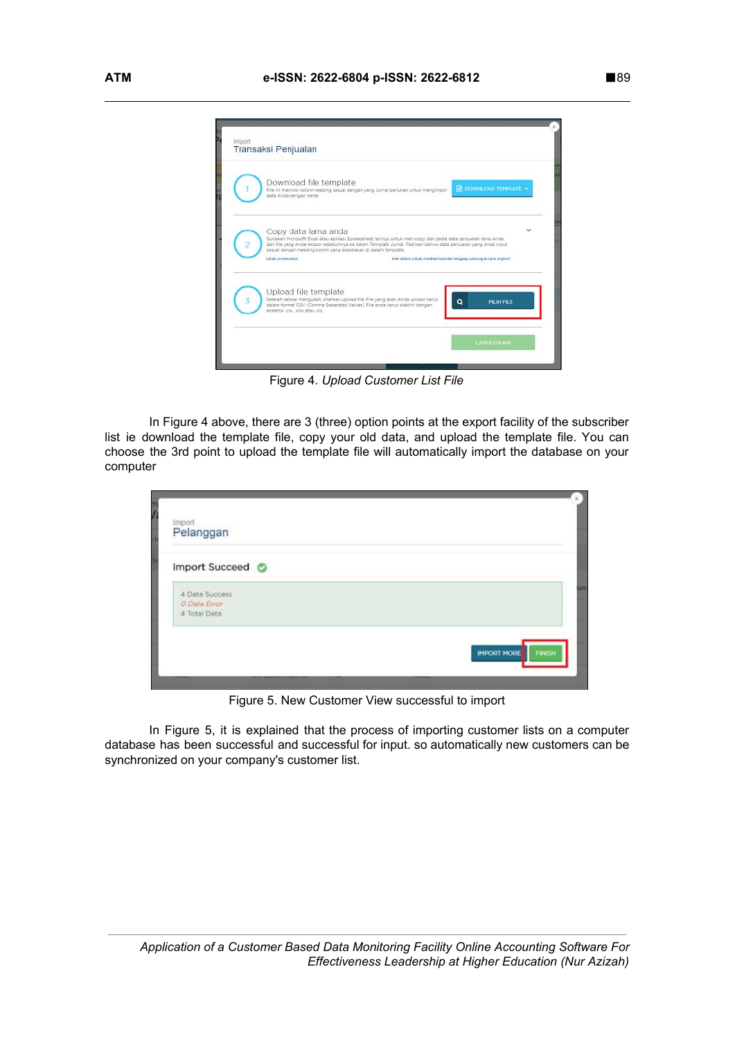

Figure 4. *Upload Customer List File*

In Figure 4 above, there are 3 (three) option points at the export facility of the subscriber list ie download the template file, copy your old data, and upload the template file. You can choose the 3rd point to upload the template file will automatically import the database on your computer

| <sub>Import</sub><br>Pelanggan                                     |  |                              |
|--------------------------------------------------------------------|--|------------------------------|
| Import Succeed ©<br>4 Data Success<br>O Data Error<br>4 Total Data |  |                              |
|                                                                    |  | IMPORT MORE<br><b>FINISH</b> |

Figure 5. New Customer View successful to import

In Figure 5, it is explained that the process of importing customer lists on a computer database has been successful and successful for input. so automatically new customers can be synchronized on your company's customer list.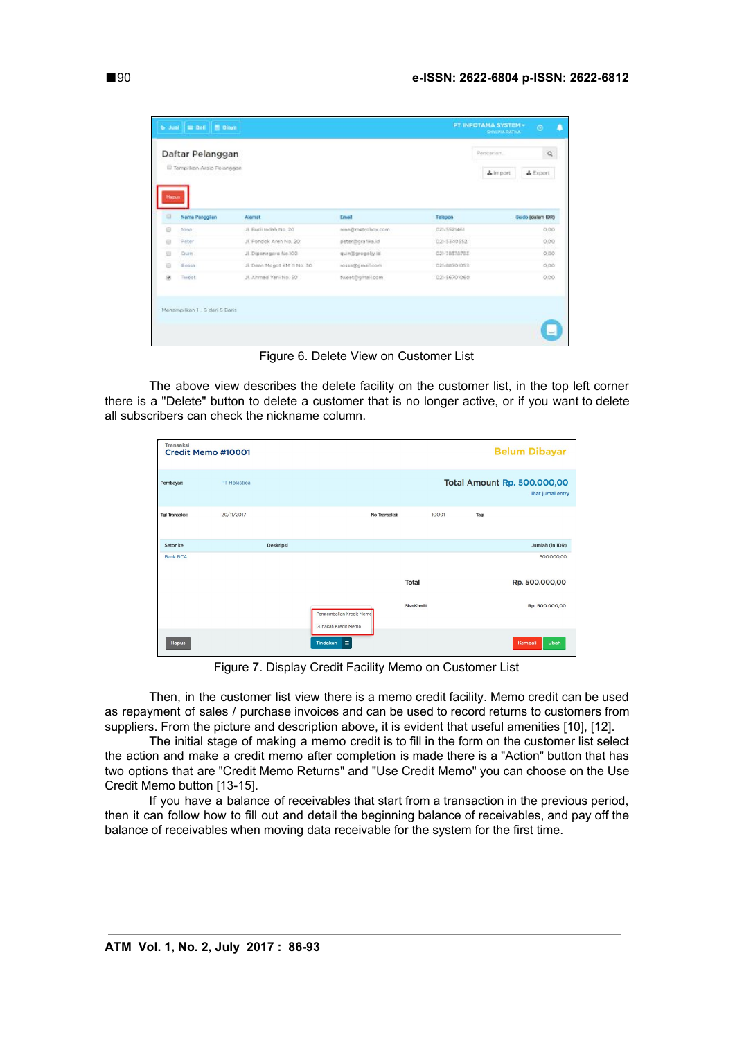|                | Daftar Pelanggan                         |                             |                    |              | Pencarian. | $\alpha$          |
|----------------|------------------------------------------|-----------------------------|--------------------|--------------|------------|-------------------|
|                | <sup>ED</sup> Tampilkan Arsip Pelanggan. |                             |                    |              | & Import   | $L$ Export        |
| Hapus<br>o     | Name Panggilan                           | Alemat                      | Email              | Telepon      |            | Saldo (dalam IDR) |
| B              | Nina                                     | JI. Budi Indah No. 20       | nina@metrobox.com  | 021-5521461  |            | 0.00              |
| $\overline{u}$ | Peter                                    | JI. Pondok Aren No. 201     | peter@grafika.id   | 021-5340552  |            | 0.00              |
| 助              | Qum                                      | JI. Diponegara No.100       | bi vilopotgallania | 021-78578783 |            | 0.00.             |
| Ð              | Rossa                                    | Jl. Daan Mogot KM 11 No. 30 | rossa@gmail.com    | 021-88701053 |            | 0.00              |
| SK.            | Timbet                                   | JL Ahmad Vani No. 50        | tweet@gmail.com    | 021-56701060 |            | 0.00              |
|                |                                          |                             |                    |              |            |                   |

Figure 6. Delete View on Customer List

The above view describes the delete facility on the customer list, in the top left corner there is a "Delete" button to delete a customer that is no longer active, or if you want to delete all subscribers can check the nickname column.

| Transaksi             | Credit Memo #10001 |           |                                                 |                    |       |      | <b>Belum Dibayar</b>                                     |
|-----------------------|--------------------|-----------|-------------------------------------------------|--------------------|-------|------|----------------------------------------------------------|
| Pembayar:             | PT Holastica       |           |                                                 |                    |       |      | <b>Total Amount Rp. 500.000,00</b><br>lihat jurnal entry |
| <b>Tal Transaksi:</b> | 20/11/2017         |           |                                                 | No Transaksi:      | 10001 | Tag: |                                                          |
| Setor ke              |                    | Deskripsi |                                                 |                    |       |      | Jumlah (in IDR)                                          |
| <b>Bank BCA</b>       |                    |           |                                                 |                    |       |      | 500.000,00                                               |
|                       |                    |           |                                                 | Total              |       |      | Rp. 500.000,00                                           |
|                       |                    |           | Pengembalian Kredit Memo<br>Gunakan Kredit Memo | <b>Sisa Kredit</b> |       |      | Rp. 500.000,00                                           |
| Hapus                 |                    |           | $\equiv$<br>Tindakan                            |                    |       |      | Ubah<br>Kembali                                          |

Figure 7. Display Credit Facility Memo on Customer List

Then, in the customer list view there is a memo credit facility. Memo credit can be used as repayment of sales / purchase invoices and can be used to record returns to customers from suppliers. From the picture and description above, it is evident that useful amenities [10], [12].

The initial stage of making a memo credit is to fill in the form on the customer list select the action and make a credit memo after completion is made there is a "Action" button that has two options that are "Credit Memo Returns" and "Use Credit Memo" you can choose on the Use Credit Memo button [13-15].

If you have a balance of receivables that start from a transaction in the previous period, then it can follow how to fill out and detail the beginning balance of receivables, and pay off the balance of receivables when moving data receivable for the system for the first time.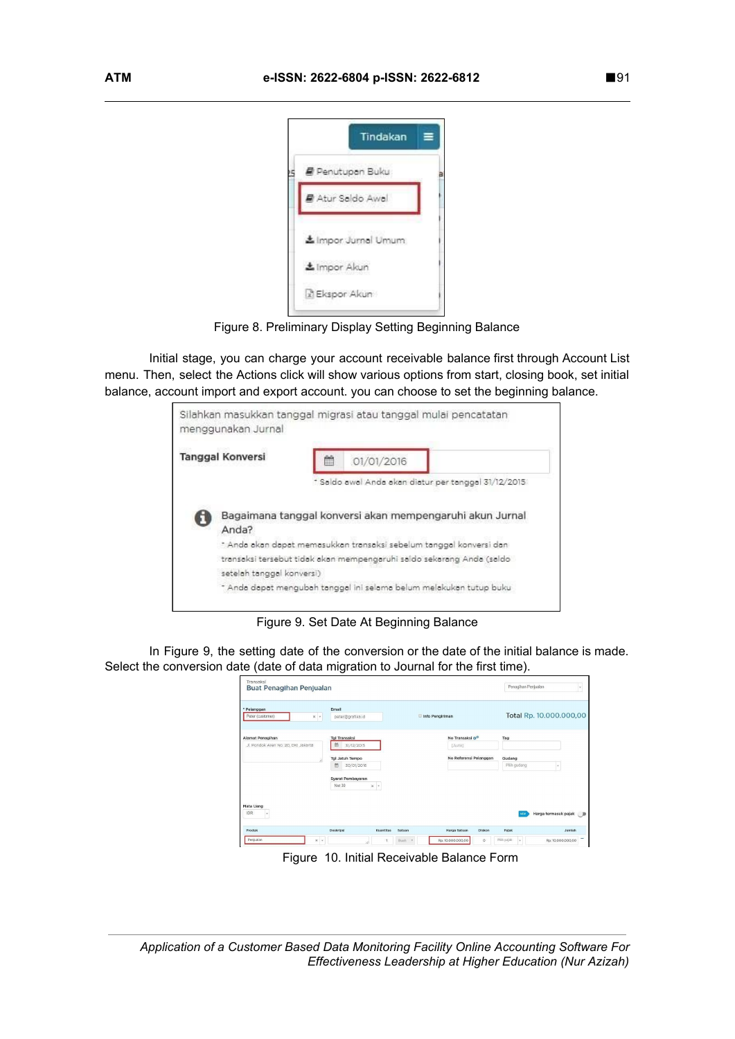

Figure 8. Preliminary Display Setting Beginning Balance

Initial stage, you can charge your account receivable balance first through Account List menu. Then, select the Actions click will show various options from start, closing book, set initial balance, account import and export account. you can choose to set the beginning balance.



Figure 9. Set Date At Beginning Balance

In Figure 9, the setting date of the conversion or the date of the initial balance is made. Select the conversion date (date of data migration to Journal for the first time).

| Transaksi<br>Buat Penagihan Penjualan                                                          |                                         |                                       | Penagihan Penjualan<br>$\mathbf{v}$ .                   |
|------------------------------------------------------------------------------------------------|-----------------------------------------|---------------------------------------|---------------------------------------------------------|
| * Pelanggan<br>Peter (customer)<br>$\times$ $\hspace{0.1cm}$ $\hspace{0.1cm}$ $\hspace{0.1cm}$ | Email<br>peter@grafika.id               | Info Pengiriman                       | Total Rp. 10.000.000,00                                 |
| Alamat Penagihan<br>Jl. Pondok Aren No. 20, DKI Jakarta                                        | <b>Tgl Transaksi</b><br>曲<br>31/12/2015 | No Transaksi 6 <sup>0</sup><br>[Auto] | Tag                                                     |
|                                                                                                | Tgl Jatuh Tempo<br>曲<br>30/01/2016      | No Referensi Pelanggan                | Gudang<br>Pilih gudang                                  |
|                                                                                                | Syarat Pembayaran<br>Net 30<br>$x -$    |                                       |                                                         |
| Mata Uang<br><b>IDR</b><br>$\;$                                                                |                                         |                                       | Harga termasuk pajak . D                                |
| Produk                                                                                         | Deskripsi<br>Kuantitas                  | Satuan<br>Harga Satuan                | Pajak<br>Diskon<br>Jumlah                               |
| Penjualan<br>$x -$                                                                             |                                         | Rp. 10.000.000.00<br>Buah v           | Pilh pajak<br>$\circ$<br>Rp. 10.000.000.00<br>$\ddot{}$ |

Figure 10. Initial Receivable Balance Form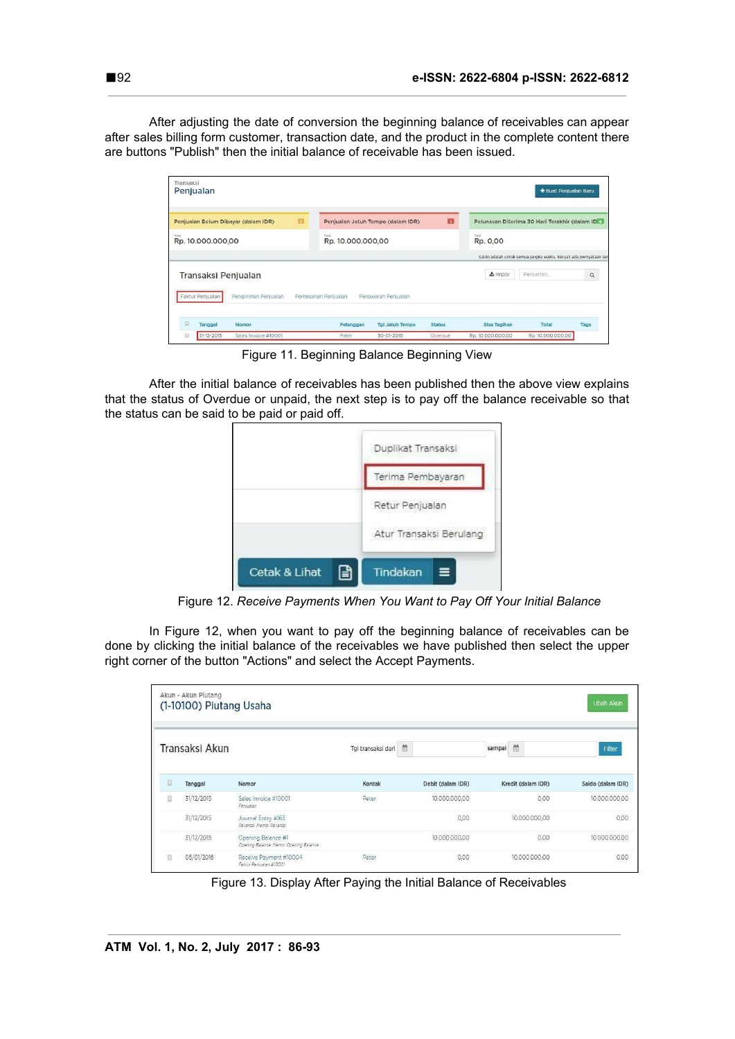After adjusting the date of conversion the beginning balance of receivables can appear after sales billing form customer, transaction date, and the product in the complete content there are buttons "Publish" then the initial balance of receivable has been issued.

| Transaksi<br>Penjualan                   |                                            |                                         |                   | + Buat Penjualan Baru                                              |          |
|------------------------------------------|--------------------------------------------|-----------------------------------------|-------------------|--------------------------------------------------------------------|----------|
| п<br>Penjualan Belum Dibayar (dalam IDR) | Penjualan Jatuh Tempo (dalam IDR)          | $\overline{\mathbf{m}}$                 |                   | Pelunasan Diterima 30 Hari Terakhir (dalam ID o                    |          |
| Total<br>Rp. 10.000.000,00               | Total<br>Rp. 10.000.000,00                 |                                         | Total<br>Rp. 0,00 |                                                                    |          |
|                                          |                                            |                                         |                   | Saldo adalah untuk semua jangka waktu, kecuali ada pernyataan lair |          |
| Transaksi Penjualan                      |                                            |                                         | $\pm$ Impor       | Pencarian                                                          | $\alpha$ |
| Faktur Penjualan<br>Pengiriman Penjualan | Pemesanan Penjualan<br>Penawaran Penjualan |                                         |                   |                                                                    |          |
| 回<br>Tanggal<br>Nomor                    | Pelanggan                                  | <b>Tgl Jatuh Tempo</b><br><b>Status</b> | Sisa Tagihan      | Total                                                              | Tags     |
| 31-12-2015<br>Θ<br>Sales Invoice #10001  | Peter                                      | 30-01-2016<br>Overdue                   | Rp. 10.000.000,00 | Rp. 10.000.000,00                                                  |          |

Figure 11. Beginning Balance Beginning View

After the initial balance of receivables has been published then the above view explains that the status of Overdue or unpaid, the next step is to pay off the balance receivable so that the status can be said to be paid or paid off.

|                     | Duplikat Transaksi      |
|---------------------|-------------------------|
|                     | Terima Pembayaran       |
|                     | Retur Penjualan         |
|                     | Atur Transaksi Berulang |
| Cetak & Lihat<br>۳∃ | Tindakan<br>≡           |

Figure 12. *Receive Payments When You Want to Pay Off Your Initial Balance*

In Figure 12, when you want to pay off the beginning balance of receivables can be done by clicking the initial balance of the receivables we have published then select the upper right corner of the button "Actions" and select the Accept Payments.

|   | Akun - Akun Piutang | (1-10100) Piutang Usaha                                      |                    |                   |                    | Ubah Akun         |
|---|---------------------|--------------------------------------------------------------|--------------------|-------------------|--------------------|-------------------|
|   | Transaksi Akun      |                                                              | Tgl transaksi dari | 首                 | 曲<br>sampai        | Filter            |
| O | Tanggal             | Nomor                                                        | Kontak             | Debit (dalam IDR) | Kredit (dalam IDR) | Saldo (dalam IDR) |
| O | 31/12/2015          | Sales Invoice #10001<br>Peniualan                            | Peter              | 10.000.000.00     | 0,00               | 10.000.000.00     |
|   | 31/12/2015          | Journal Entry #163<br>Reversal, Memo: Reversal               |                    | 0.00              | 10.000.000.00      | 0.00              |
|   | 31/12/2015          | Opening Balance #1<br>Opening Balance, Memo: Opening Balance |                    | 10.000.000.00     | 0,00               | 10.000.000.00     |
| Ū | 05/01/2016          | Receive Payment #10004<br>Faktur Peniualan #10001            | Peter              | 0,00              | 10.000.000,00      | 0,00              |

Figure 13. Display After Paying the Initial Balance of Receivables